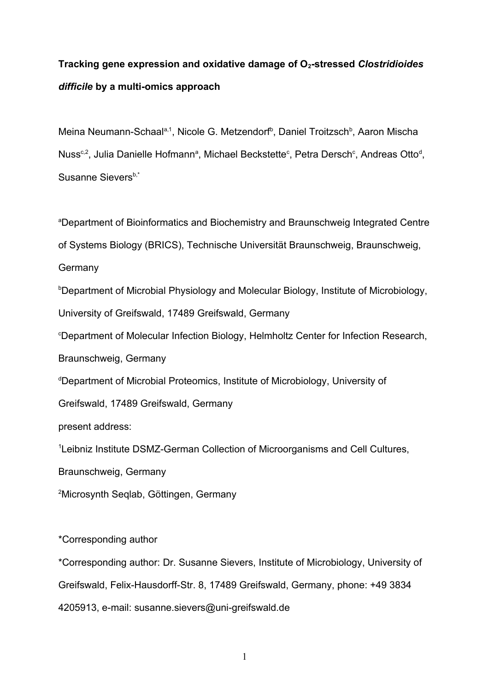# **Tracking gene expression and oxidative damage of O2-stressed** *Clostridioides difficile* **by a multi-omics approach**

Meina Neumann-Schaal<sup>a,1</sup>, Nicole G. Metzendorf<sup>b</sup>, Daniel Troitzsch<sup>b</sup>, Aaron Mischa Nuss<sup>c,2</sup>, Julia Danielle Hofmann<sup>a</sup>, Michael Beckstette<sup>c</sup>, Petra Dersch<sup>c</sup>, Andreas Otto<sup>d</sup>, Susanne Sievers<sup>b,\*</sup>

<sup>a</sup>Department of Bioinformatics and Biochemistry and Braunschweig Integrated Centre

of Systems Biology (BRICS), Technische Universität Braunschweig, Braunschweig,

**Germany** 

<sup>b</sup>Department of Microbial Physiology and Molecular Biology, Institute of Microbiology,

University of Greifswald, 17489 Greifswald, Germany

<sup>c</sup>Department of Molecular Infection Biology, Helmholtz Center for Infection Research,

Braunschweig, Germany

<sup>d</sup>Department of Microbial Proteomics, Institute of Microbiology, University of

Greifswald, 17489 Greifswald, Germany

present address:

<sup>1</sup>Leibniz Institute DSMZ-German Collection of Microorganisms and Cell Cultures,

Braunschweig, Germany

<sup>2</sup>Microsynth Seqlab, Göttingen, Germany

\*Corresponding author

\*Corresponding author: Dr. Susanne Sievers, Institute of Microbiology, University of Greifswald, Felix-Hausdorff-Str. 8, 17489 Greifswald, Germany, phone: +49 3834 4205913, e-mail: susanne.sievers@uni-greifswald.de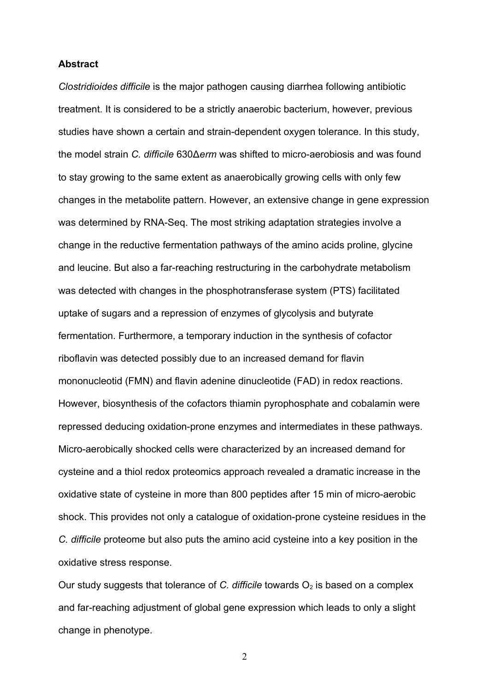#### **Abstract**

*Clostridioides difficile* is the major pathogen causing diarrhea following antibiotic treatment. It is considered to be a strictly anaerobic bacterium, however, previous studies have shown a certain and strain-dependent oxygen tolerance. In this study, the model strain *C. difficile* 630Δ*erm* was shifted to micro-aerobiosis and was found to stay growing to the same extent as anaerobically growing cells with only few changes in the metabolite pattern. However, an extensive change in gene expression was determined by RNA-Seq. The most striking adaptation strategies involve a change in the reductive fermentation pathways of the amino acids proline, glycine and leucine. But also a far-reaching restructuring in the carbohydrate metabolism was detected with changes in the phosphotransferase system (PTS) facilitated uptake of sugars and a repression of enzymes of glycolysis and butyrate fermentation. Furthermore, a temporary induction in the synthesis of cofactor riboflavin was detected possibly due to an increased demand for flavin mononucleotid (FMN) and flavin adenine dinucleotide (FAD) in redox reactions. However, biosynthesis of the cofactors thiamin pyrophosphate and cobalamin were repressed deducing oxidation-prone enzymes and intermediates in these pathways. Micro-aerobically shocked cells were characterized by an increased demand for cysteine and a thiol redox proteomics approach revealed a dramatic increase in the oxidative state of cysteine in more than 800 peptides after 15 min of micro-aerobic shock. This provides not only a catalogue of oxidation-prone cysteine residues in the *C. difficile* proteome but also puts the amino acid cysteine into a key position in the oxidative stress response.

Our study suggests that tolerance of *C. difficile* towards  $O<sub>2</sub>$  is based on a complex and far-reaching adjustment of global gene expression which leads to only a slight change in phenotype.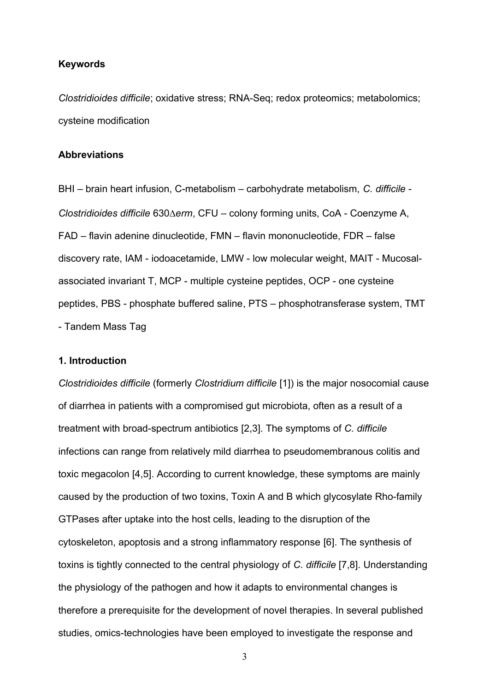## **Keywords**

*Clostridioides difficile*; oxidative stress; RNA-Seq; redox proteomics; metabolomics; cysteine modification

#### **Abbreviations**

BHI – brain heart infusion, C-metabolism – carbohydrate metabolism, *C. difficile* - *Clostridioides difficile* 630*erm*, CFU – colony forming units, CoA - Coenzyme A, FAD – flavin adenine dinucleotide, FMN – flavin mononucleotide, FDR – false discovery rate, IAM - iodoacetamide, LMW - low molecular weight, MAIT - Mucosalassociated invariant T, MCP - multiple cysteine peptides, OCP - one cysteine peptides, PBS - phosphate buffered saline, PTS – phosphotransferase system, TMT - Tandem Mass Tag

## **1. Introduction**

*Clostridioides difficile* (formerly *Clostridium difficile* [1]) is the major nosocomial cause of diarrhea in patients with a compromised gut microbiota, often as a result of a treatment with broad-spectrum antibiotics [2,3]. The symptoms of *C. difficile* infections can range from relatively mild diarrhea to pseudomembranous colitis and toxic megacolon [4,5]. According to current knowledge, these symptoms are mainly caused by the production of two toxins, Toxin A and B which glycosylate Rho-family GTPases after uptake into the host cells, leading to the disruption of the cytoskeleton, apoptosis and a strong inflammatory response [6]. The synthesis of toxins is tightly connected to the central physiology of *C. difficile* [7,8]. Understanding the physiology of the pathogen and how it adapts to environmental changes is therefore a prerequisite for the development of novel therapies. In several published studies, omics-technologies have been employed to investigate the response and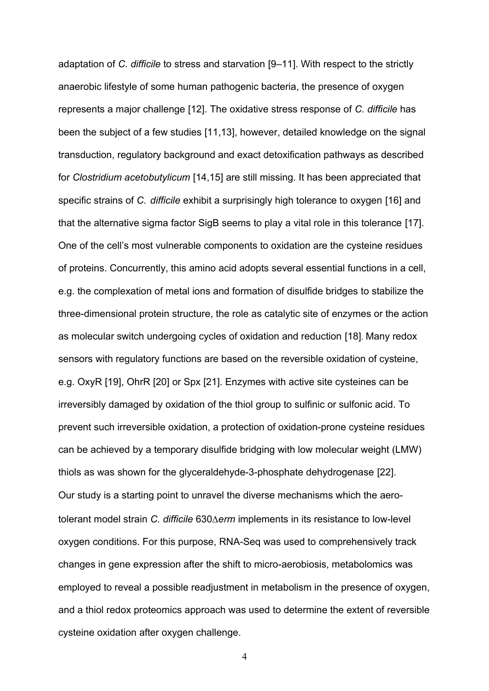adaptation of *C. difficile* to stress and starvation [9–11]. With respect to the strictly anaerobic lifestyle of some human pathogenic bacteria, the presence of oxygen represents a major challenge [12]. The oxidative stress response of *C. difficile* has been the subject of a few studies [11,13], however, detailed knowledge on the signal transduction, regulatory background and exact detoxification pathways as described for *Clostridium acetobutylicum* [14,15] are still missing. It has been appreciated that specific strains of *C. difficile* exhibit a surprisingly high tolerance to oxygen [16] and that the alternative sigma factor SigB seems to play a vital role in this tolerance [17]. One of the cell's most vulnerable components to oxidation are the cysteine residues of proteins. Concurrently, this amino acid adopts several essential functions in a cell, e.g. the complexation of metal ions and formation of disulfide bridges to stabilize the three-dimensional protein structure, the role as catalytic site of enzymes or the action as molecular switch undergoing cycles of oxidation and reduction [18]. Many redox sensors with regulatory functions are based on the reversible oxidation of cysteine, e.g. OxyR [19], OhrR [20] or Spx [21]. Enzymes with active site cysteines can be irreversibly damaged by oxidation of the thiol group to sulfinic or sulfonic acid. To prevent such irreversible oxidation, a protection of oxidation-prone cysteine residues can be achieved by a temporary disulfide bridging with low molecular weight (LMW) thiols as was shown for the glyceraldehyde-3-phosphate dehydrogenase [22]. Our study is a starting point to unravel the diverse mechanisms which the aerotolerant model strain *C. difficile* 630 $\triangle$ erm implements in its resistance to low-level oxygen conditions. For this purpose, RNA-Seq was used to comprehensively track changes in gene expression after the shift to micro-aerobiosis, metabolomics was employed to reveal a possible readjustment in metabolism in the presence of oxygen, and a thiol redox proteomics approach was used to determine the extent of reversible cysteine oxidation after oxygen challenge.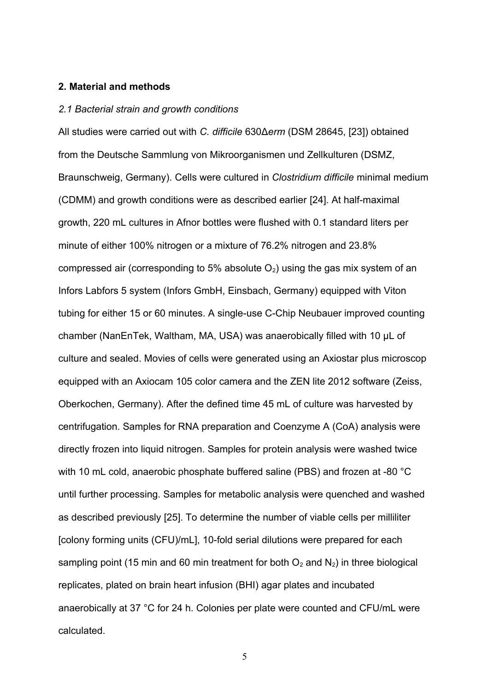### **2. Material and methods**

### *2.1 Bacterial strain and growth conditions*

All studies were carried out with *C. difficile* 630Δ*erm* (DSM 28645, [23]) obtained from the Deutsche Sammlung von Mikroorganismen und Zellkulturen (DSMZ, Braunschweig, Germany). Cells were cultured in *Clostridium difficile* minimal medium (CDMM) and growth conditions were as described earlier [24]. At half-maximal growth, 220 mL cultures in Afnor bottles were flushed with 0.1 standard liters per minute of either 100% nitrogen or a mixture of 76.2% nitrogen and 23.8% compressed air (corresponding to 5% absolute  $O_2$ ) using the gas mix system of an Infors Labfors 5 system (Infors GmbH, Einsbach, Germany) equipped with Viton tubing for either 15 or 60 minutes. A single-use C-Chip Neubauer improved counting chamber (NanEnTek, Waltham, MA, USA) was anaerobically filled with 10 µL of culture and sealed. Movies of cells were generated using an Axiostar plus microscop equipped with an Axiocam 105 color camera and the ZEN lite 2012 software (Zeiss, Oberkochen, Germany). After the defined time 45 mL of culture was harvested by centrifugation. Samples for RNA preparation and Coenzyme A (CoA) analysis were directly frozen into liquid nitrogen. Samples for protein analysis were washed twice with 10 mL cold, anaerobic phosphate buffered saline (PBS) and frozen at -80 °C until further processing. Samples for metabolic analysis were quenched and washed as described previously [25]. To determine the number of viable cells per milliliter [colony forming units (CFU)/mL], 10-fold serial dilutions were prepared for each sampling point (15 min and 60 min treatment for both  $O_2$  and  $N_2$ ) in three biological replicates, plated on brain heart infusion (BHI) agar plates and incubated anaerobically at 37 °C for 24 h. Colonies per plate were counted and CFU/mL were calculated.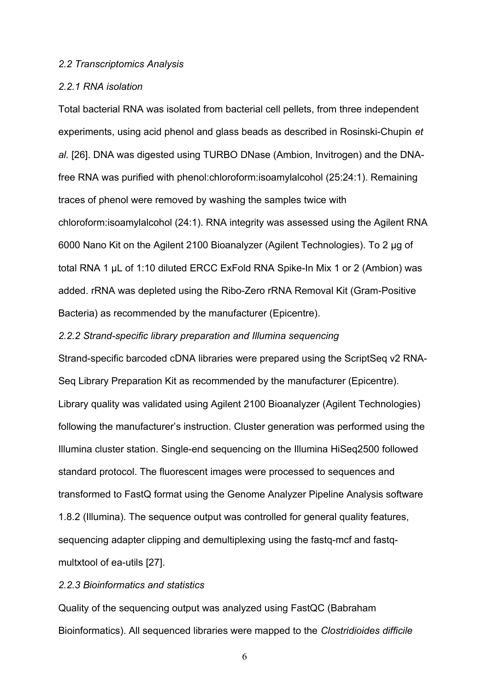#### *2.2 Transcriptomics Analysis*

## *2.2.1 RNA isolation*

Total bacterial RNA was isolated from bacterial cell pellets, from three independent experiments, using acid phenol and glass beads as described in Rosinski-Chupin *et al.* [26]. DNA was digested using TURBO DNase (Ambion, Invitrogen) and the DNAfree RNA was purified with phenol:chloroform:isoamylalcohol (25:24:1). Remaining traces of phenol were removed by washing the samples twice with chloroform:isoamylalcohol (24:1). RNA integrity was assessed using the Agilent RNA 6000 Nano Kit on the Agilent 2100 Bioanalyzer (Agilent Technologies). To 2 µg of total RNA 1 µL of 1:10 diluted ERCC ExFold RNA Spike-In Mix 1 or 2 (Ambion) was added. rRNA was depleted using the Ribo-Zero rRNA Removal Kit (Gram-Positive Bacteria) as recommended by the manufacturer (Epicentre).

#### *2.2.2 Strand-specific library preparation and Illumina sequencing*

Strand-specific barcoded cDNA libraries were prepared using the ScriptSeq v2 RNA-Seq Library Preparation Kit as recommended by the manufacturer (Epicentre). Library quality was validated using Agilent 2100 Bioanalyzer (Agilent Technologies) following the manufacturer's instruction. Cluster generation was performed using the Illumina cluster station. Single-end sequencing on the Illumina HiSeq2500 followed standard protocol. The fluorescent images were processed to sequences and transformed to FastQ format using the Genome Analyzer Pipeline Analysis software 1.8.2 (Illumina). The sequence output was controlled for general quality features, sequencing adapter clipping and demultiplexing using the fastq-mcf and fastqmultxtool of ea-utils [27].

# *2.2.3 Bioinformatics and statistics*

Quality of the sequencing output was analyzed using FastQC (Babraham Bioinformatics). All sequenced libraries were mapped to the *Clostridioides difficile*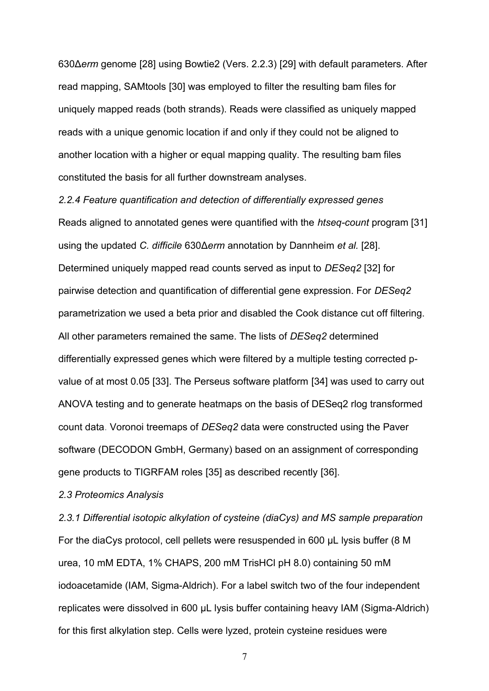630Δ*erm* genome [28] using Bowtie2 (Vers. 2.2.3) [29] with default parameters. After read mapping, SAMtools [30] was employed to filter the resulting bam files for uniquely mapped reads (both strands). Reads were classified as uniquely mapped reads with a unique genomic location if and only if they could not be aligned to another location with a higher or equal mapping quality. The resulting bam files constituted the basis for all further downstream analyses.

*2.2.4 Feature quantification and detection of differentially expressed genes* Reads aligned to annotated genes were quantified with the *htseq-count* program [31] using the updated *C. difficile* 630Δ*erm* annotation by Dannheim *et al.* [28]. Determined uniquely mapped read counts served as input to *DESeq2* [32] for pairwise detection and quantification of differential gene expression. For *DESeq2* parametrization we used a beta prior and disabled the Cook distance cut off filtering. All other parameters remained the same. The lists of *DESeq2* determined differentially expressed genes which were filtered by a multiple testing corrected pvalue of at most 0.05 [33]. The Perseus software platform [34] was used to carry out ANOVA testing and to generate heatmaps on the basis of DESeq2 rlog transformed count data. Voronoi treemaps of *DESeq2* data were constructed using the Paver software (DECODON GmbH, Germany) based on an assignment of corresponding gene products to TIGRFAM roles [35] as described recently [36].

#### *2.3 Proteomics Analysis*

*2.3.1 Differential isotopic alkylation of cysteine (diaCys) and MS sample preparation* For the diaCys protocol, cell pellets were resuspended in 600 µL lysis buffer (8 M urea, 10 mM EDTA, 1% CHAPS, 200 mM TrisHCl pH 8.0) containing 50 mM iodoacetamide (IAM, Sigma-Aldrich). For a label switch two of the four independent replicates were dissolved in 600 µL lysis buffer containing heavy IAM (Sigma-Aldrich) for this first alkylation step. Cells were lyzed, protein cysteine residues were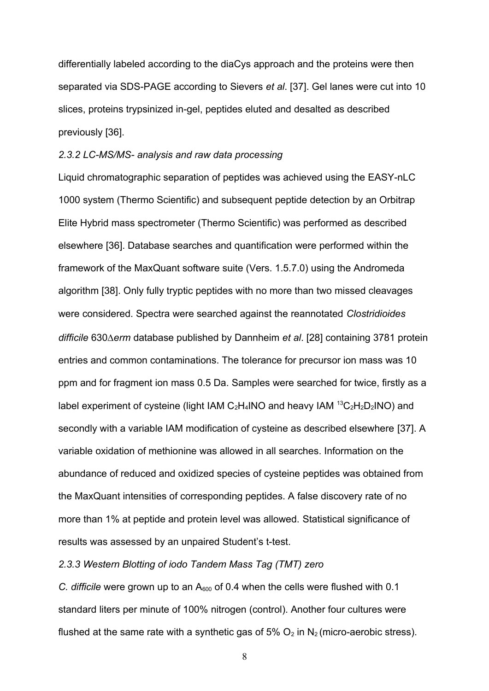differentially labeled according to the diaCys approach and the proteins were then separated via SDS-PAGE according to Sievers *et al*. [37]. Gel lanes were cut into 10 slices, proteins trypsinized in-gel, peptides eluted and desalted as described previously [36].

#### *2.3.2 LC-MS/MS- analysis and raw data processing*

Liquid chromatographic separation of peptides was achieved using the EASY-nLC 1000 system (Thermo Scientific) and subsequent peptide detection by an Orbitrap Elite Hybrid mass spectrometer (Thermo Scientific) was performed as described elsewhere [36]. Database searches and quantification were performed within the framework of the MaxQuant software suite (Vers. 1.5.7.0) using the Andromeda algorithm [38]. Only fully tryptic peptides with no more than two missed cleavages were considered. Spectra were searched against the reannotated *Clostridioides difficile* 630*erm* database published by Dannheim *et al*. [28] containing 3781 protein entries and common contaminations. The tolerance for precursor ion mass was 10 ppm and for fragment ion mass 0.5 Da. Samples were searched for twice, firstly as a label experiment of cysteine (light IAM  $C_2H_4NO$  and heavy IAM  $^{13}C_2H_2D_2NO$ ) and secondly with a variable IAM modification of cysteine as described elsewhere [37]. A variable oxidation of methionine was allowed in all searches. Information on the abundance of reduced and oxidized species of cysteine peptides was obtained from the MaxQuant intensities of corresponding peptides. A false discovery rate of no more than 1% at peptide and protein level was allowed. Statistical significance of results was assessed by an unpaired Student's t-test.

# *2.3.3 Western Blotting of iodo Tandem Mass Tag (TMT) zero*

*C. difficile* were grown up to an A<sub>600</sub> of 0.4 when the cells were flushed with 0.1 standard liters per minute of 100% nitrogen (control). Another four cultures were flushed at the same rate with a synthetic gas of 5%  $O_2$  in  $N_2$  (micro-aerobic stress).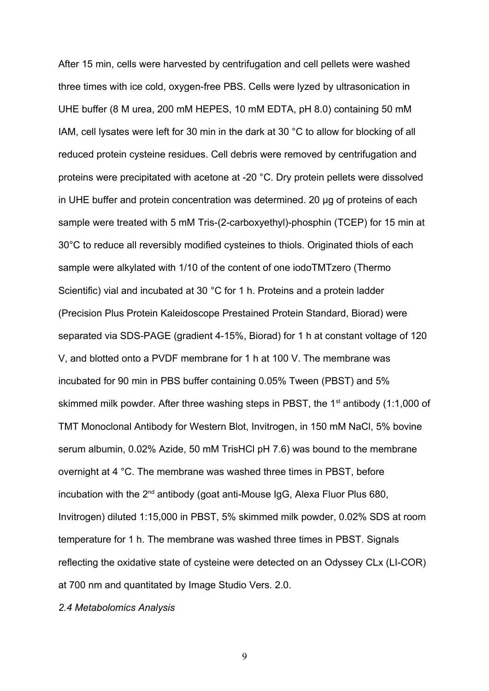After 15 min, cells were harvested by centrifugation and cell pellets were washed three times with ice cold, oxygen-free PBS. Cells were lyzed by ultrasonication in UHE buffer (8 M urea, 200 mM HEPES, 10 mM EDTA, pH 8.0) containing 50 mM IAM, cell lysates were left for 30 min in the dark at 30 °C to allow for blocking of all reduced protein cysteine residues. Cell debris were removed by centrifugation and proteins were precipitated with acetone at -20 °C. Dry protein pellets were dissolved in UHE buffer and protein concentration was determined. 20 µg of proteins of each sample were treated with 5 mM Tris-(2-carboxyethyl)-phosphin (TCEP) for 15 min at 30°C to reduce all reversibly modified cysteines to thiols. Originated thiols of each sample were alkylated with 1/10 of the content of one iodoTMTzero (Thermo Scientific) vial and incubated at 30 °C for 1 h. Proteins and a protein ladder (Precision Plus Protein Kaleidoscope Prestained Protein Standard, Biorad) were separated via SDS-PAGE (gradient 4-15%, Biorad) for 1 h at constant voltage of 120 V, and blotted onto a PVDF membrane for 1 h at 100 V. The membrane was incubated for 90 min in PBS buffer containing 0.05% Tween (PBST) and 5% skimmed milk powder. After three washing steps in PBST, the  $1<sup>st</sup>$  antibody (1:1,000 of TMT Monoclonal Antibody for Western Blot, Invitrogen, in 150 mM NaCl, 5% bovine serum albumin, 0.02% Azide, 50 mM TrisHCl pH 7.6) was bound to the membrane overnight at 4 °C. The membrane was washed three times in PBST, before incubation with the  $2^{nd}$  antibody (goat anti-Mouse IgG, Alexa Fluor Plus 680, Invitrogen) diluted 1:15,000 in PBST, 5% skimmed milk powder, 0.02% SDS at room temperature for 1 h. The membrane was washed three times in PBST. Signals reflecting the oxidative state of cysteine were detected on an Odyssey CLx (LI-COR) at 700 nm and quantitated by Image Studio Vers. 2.0.

# *2.4 Metabolomics Analysis*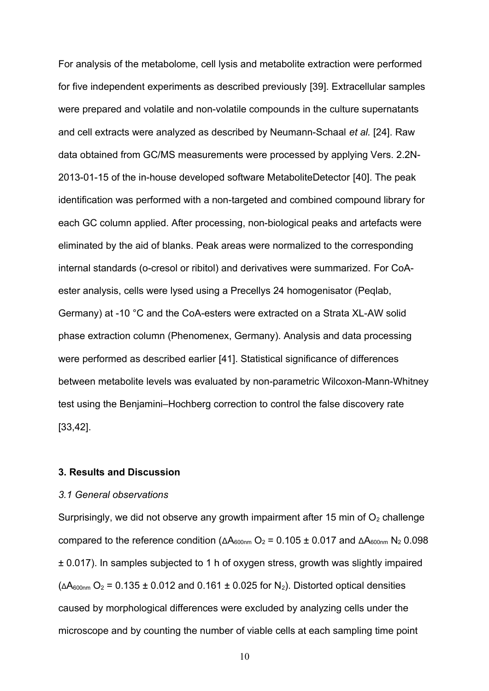For analysis of the metabolome, cell lysis and metabolite extraction were performed for five independent experiments as described previously [39]. Extracellular samples were prepared and volatile and non-volatile compounds in the culture supernatants and cell extracts were analyzed as described by Neumann-Schaal *et al.* [24]. Raw data obtained from GC/MS measurements were processed by applying Vers. 2.2N-2013-01-15 of the in-house developed software MetaboliteDetector [40]. The peak identification was performed with a non-targeted and combined compound library for each GC column applied. After processing, non-biological peaks and artefacts were eliminated by the aid of blanks. Peak areas were normalized to the corresponding internal standards (o-cresol or ribitol) and derivatives were summarized. For CoAester analysis, cells were lysed using a Precellys 24 homogenisator (Peqlab, Germany) at -10 °C and the CoA-esters were extracted on a Strata XL-AW solid phase extraction column (Phenomenex, Germany). Analysis and data processing were performed as described earlier [41]. Statistical significance of differences between metabolite levels was evaluated by non-parametric Wilcoxon-Mann-Whitney test using the Benjamini–Hochberg correction to control the false discovery rate [33,42].

## **3. Results and Discussion**

## *3.1 General observations*

Surprisingly, we did not observe any growth impairment after 15 min of  $O<sub>2</sub>$  challenge compared to the reference condition ( $ΔA<sub>600nm</sub>$  O<sub>2</sub> = 0.105 ± 0.017 and  $ΔA<sub>600nm</sub>$  N<sub>2</sub> 0.098 ± 0.017). In samples subjected to 1 h of oxygen stress, growth was slightly impaired  $(\Delta A_{600nm}$  O<sub>2</sub> = 0.135 ± 0.012 and 0.161 ± 0.025 for N<sub>2</sub>). Distorted optical densities caused by morphological differences were excluded by analyzing cells under the microscope and by counting the number of viable cells at each sampling time point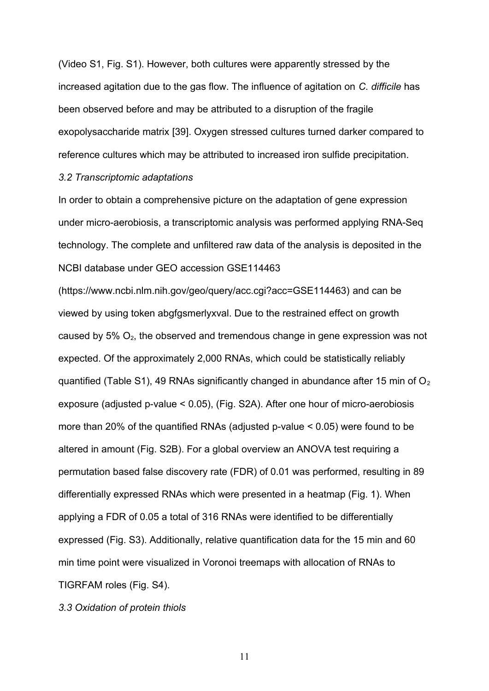(Video S1, Fig. S1). However, both cultures were apparently stressed by the increased agitation due to the gas flow. The influence of agitation on *C. difficile* has been observed before and may be attributed to a disruption of the fragile exopolysaccharide matrix [39]. Oxygen stressed cultures turned darker compared to reference cultures which may be attributed to increased iron sulfide precipitation.

## *3.2 Transcriptomic adaptations*

In order to obtain a comprehensive picture on the adaptation of gene expression under micro-aerobiosis, a transcriptomic analysis was performed applying RNA-Seq technology. The complete and unfiltered raw data of the analysis is deposited in the NCBI database under GEO accession GSE114463

([https://www.ncbi.nlm.nih.gov/geo/query/acc.cgi?acc=GSE114463\)](https://www.ncbi.nlm.nih.gov/geo/query/acc.cgi?acc=GSE114463)) and can be viewed by using token abgfgsmerlyxval. Due to the restrained effect on growth caused by  $5\%$   $O_2$ , the observed and tremendous change in gene expression was not expected. Of the approximately 2,000 RNAs, which could be statistically reliably quantified (Table S1), 49 RNAs significantly changed in abundance after 15 min of  $O<sub>2</sub>$ exposure (adjusted p-value < 0.05), (Fig. S2A). After one hour of micro-aerobiosis more than 20% of the quantified RNAs (adjusted p-value < 0.05) were found to be altered in amount (Fig. S2B). For a global overview an ANOVA test requiring a permutation based false discovery rate (FDR) of 0.01 was performed, resulting in 89 differentially expressed RNAs which were presented in a heatmap (Fig. 1). When applying a FDR of 0.05 a total of 316 RNAs were identified to be differentially expressed (Fig. S3). Additionally, relative quantification data for the 15 min and 60 min time point were visualized in Voronoi treemaps with allocation of RNAs to TIGRFAM roles (Fig. S4).

*3.3 Oxidation of protein thiols*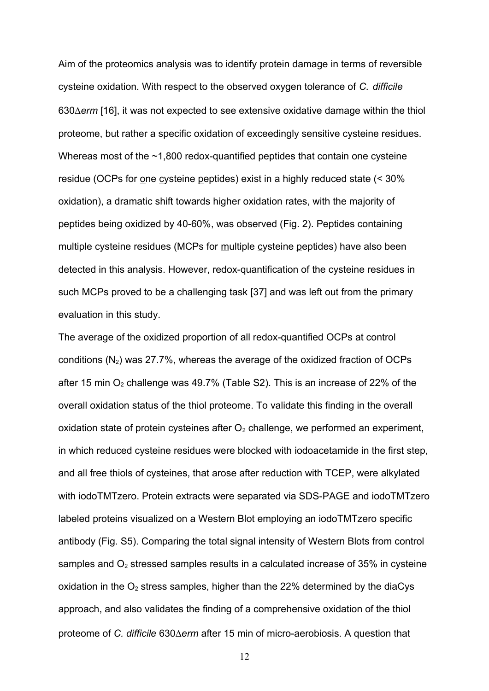Aim of the proteomics analysis was to identify protein damage in terms of reversible cysteine oxidation. With respect to the observed oxygen tolerance of *C. difficile* 630*erm* [16], it was not expected to see extensive oxidative damage within the thiol proteome, but rather a specific oxidation of exceedingly sensitive cysteine residues. Whereas most of the ~1,800 redox-quantified peptides that contain one cysteine residue (OCPs for one cysteine peptides) exist in a highly reduced state (< 30% oxidation), a dramatic shift towards higher oxidation rates, with the majority of peptides being oxidized by 40-60%, was observed (Fig. 2). Peptides containing multiple cysteine residues (MCPs for multiple cysteine peptides) have also been detected in this analysis. However, redox-quantification of the cysteine residues in such MCPs proved to be a challenging task [37] and was left out from the primary evaluation in this study.

The average of the oxidized proportion of all redox-quantified OCPs at control conditions  $(N_2)$  was 27.7%, whereas the average of the oxidized fraction of OCPs after 15 min  $O_2$  challenge was 49.7% (Table S2). This is an increase of 22% of the overall oxidation status of the thiol proteome. To validate this finding in the overall oxidation state of protein cysteines after  $O<sub>2</sub>$  challenge, we performed an experiment, in which reduced cysteine residues were blocked with iodoacetamide in the first step, and all free thiols of cysteines, that arose after reduction with TCEP, were alkylated with iodoTMTzero. Protein extracts were separated via SDS-PAGE and iodoTMTzero labeled proteins visualized on a Western Blot employing an iodoTMTzero specific antibody (Fig. S5). Comparing the total signal intensity of Western Blots from control samples and  $O<sub>2</sub>$  stressed samples results in a calculated increase of 35% in cysteine oxidation in the  $O_2$  stress samples, higher than the 22% determined by the diaCys approach, and also validates the finding of a comprehensive oxidation of the thiol proteome of *C. difficile* 630*erm* after 15 min of micro-aerobiosis. A question that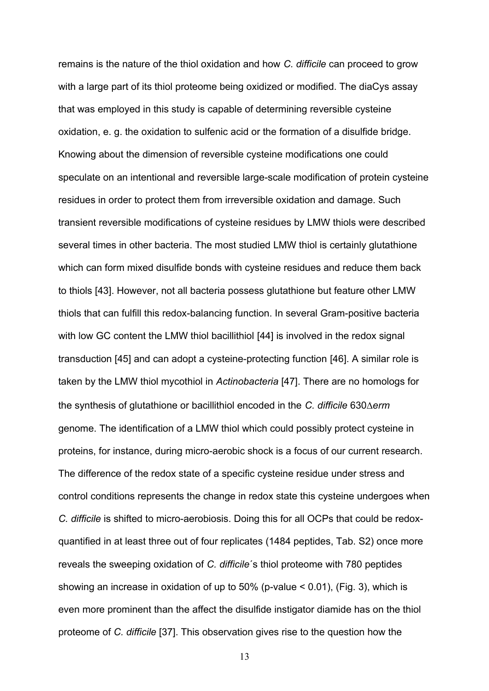remains is the nature of the thiol oxidation and how *C. difficile* can proceed to grow with a large part of its thiol proteome being oxidized or modified. The diaCys assay that was employed in this study is capable of determining reversible cysteine oxidation, e. g. the oxidation to sulfenic acid or the formation of a disulfide bridge. Knowing about the dimension of reversible cysteine modifications one could speculate on an intentional and reversible large-scale modification of protein cysteine residues in order to protect them from irreversible oxidation and damage. Such transient reversible modifications of cysteine residues by LMW thiols were described several times in other bacteria. The most studied LMW thiol is certainly glutathione which can form mixed disulfide bonds with cysteine residues and reduce them back to thiols [43]. However, not all bacteria possess glutathione but feature other LMW thiols that can fulfill this redox-balancing function. In several Gram-positive bacteria with low GC content the LMW thiol bacillithiol [44] is involved in the redox signal transduction [45] and can adopt a cysteine-protecting function [46]. A similar role is taken by the LMW thiol mycothiol in *Actinobacteria* [47]. There are no homologs for the synthesis of glutathione or bacillithiol encoded in the *C. difficile* 630*erm* genome. The identification of a LMW thiol which could possibly protect cysteine in proteins, for instance, during micro-aerobic shock is a focus of our current research. The difference of the redox state of a specific cysteine residue under stress and control conditions represents the change in redox state this cysteine undergoes when *C. difficile* is shifted to micro-aerobiosis. Doing this for all OCPs that could be redoxquantified in at least three out of four replicates (1484 peptides, Tab. S2) once more reveals the sweeping oxidation of *C. difficile*´s thiol proteome with 780 peptides showing an increase in oxidation of up to 50% (p-value < 0.01), (Fig. 3), which is even more prominent than the affect the disulfide instigator diamide has on the thiol proteome of *C. difficile* [37]. This observation gives rise to the question how the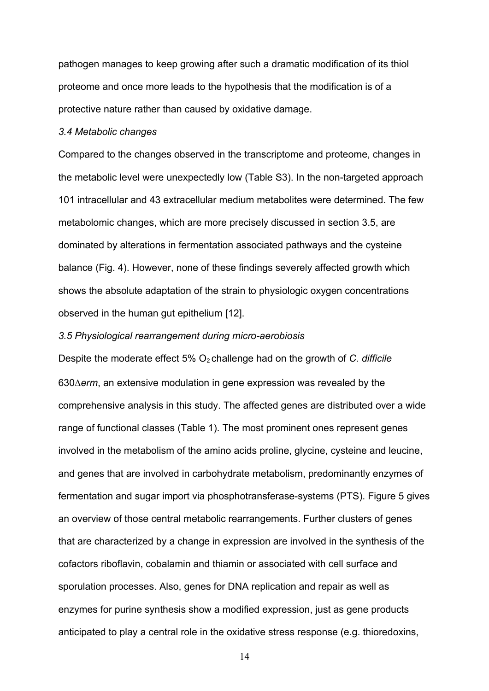pathogen manages to keep growing after such a dramatic modification of its thiol proteome and once more leads to the hypothesis that the modification is of a protective nature rather than caused by oxidative damage.

## *3.4 Metabolic changes*

Compared to the changes observed in the transcriptome and proteome, changes in the metabolic level were unexpectedly low (Table S3). In the non-targeted approach 101 intracellular and 43 extracellular medium metabolites were determined. The few metabolomic changes, which are more precisely discussed in section 3.5, are dominated by alterations in fermentation associated pathways and the cysteine balance (Fig. 4). However, none of these findings severely affected growth which shows the absolute adaptation of the strain to physiologic oxygen concentrations observed in the human gut epithelium [12].

## *3.5 Physiological rearrangement during micro-aerobiosis*

Despite the moderate effect 5% O<sub>2</sub> challenge had on the growth of *C. difficile* 630*erm*, an extensive modulation in gene expression was revealed by the comprehensive analysis in this study. The affected genes are distributed over a wide range of functional classes (Table 1). The most prominent ones represent genes involved in the metabolism of the amino acids proline, glycine, cysteine and leucine, and genes that are involved in carbohydrate metabolism, predominantly enzymes of fermentation and sugar import via phosphotransferase-systems (PTS). Figure 5 gives an overview of those central metabolic rearrangements. Further clusters of genes that are characterized by a change in expression are involved in the synthesis of the cofactors riboflavin, cobalamin and thiamin or associated with cell surface and sporulation processes. Also, genes for DNA replication and repair as well as enzymes for purine synthesis show a modified expression, just as gene products anticipated to play a central role in the oxidative stress response (e.g. thioredoxins,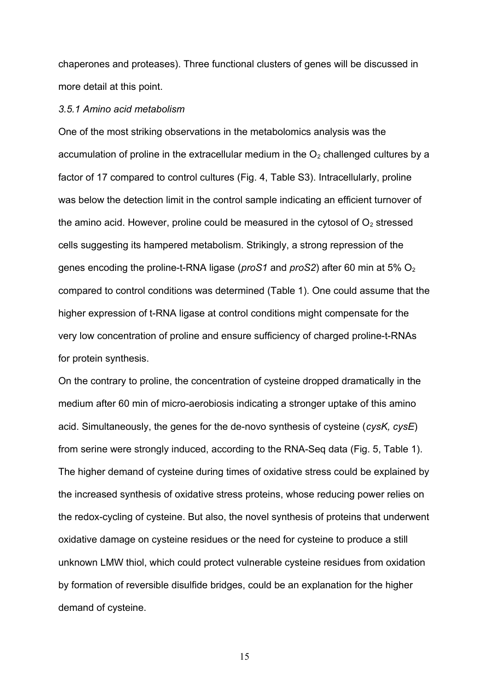chaperones and proteases). Three functional clusters of genes will be discussed in more detail at this point.

#### *3.5.1 Amino acid metabolism*

One of the most striking observations in the metabolomics analysis was the accumulation of proline in the extracellular medium in the  $O<sub>2</sub>$  challenged cultures by a factor of 17 compared to control cultures (Fig. 4, Table S3). Intracellularly, proline was below the detection limit in the control sample indicating an efficient turnover of the amino acid. However, proline could be measured in the cytosol of  $O<sub>2</sub>$  stressed cells suggesting its hampered metabolism. Strikingly, a strong repression of the genes encoding the proline-t-RNA ligase (*proS1* and *proS2*) after 60 min at 5% O<sub>2</sub> compared to control conditions was determined (Table 1). One could assume that the higher expression of t-RNA ligase at control conditions might compensate for the very low concentration of proline and ensure sufficiency of charged proline-t-RNAs for protein synthesis.

On the contrary to proline, the concentration of cysteine dropped dramatically in the medium after 60 min of micro-aerobiosis indicating a stronger uptake of this amino acid. Simultaneously, the genes for the de-novo synthesis of cysteine (*cysK, cysE*) from serine were strongly induced, according to the RNA-Seq data (Fig. 5, Table 1). The higher demand of cysteine during times of oxidative stress could be explained by the increased synthesis of oxidative stress proteins, whose reducing power relies on the redox-cycling of cysteine. But also, the novel synthesis of proteins that underwent oxidative damage on cysteine residues or the need for cysteine to produce a still unknown LMW thiol, which could protect vulnerable cysteine residues from oxidation by formation of reversible disulfide bridges, could be an explanation for the higher demand of cysteine.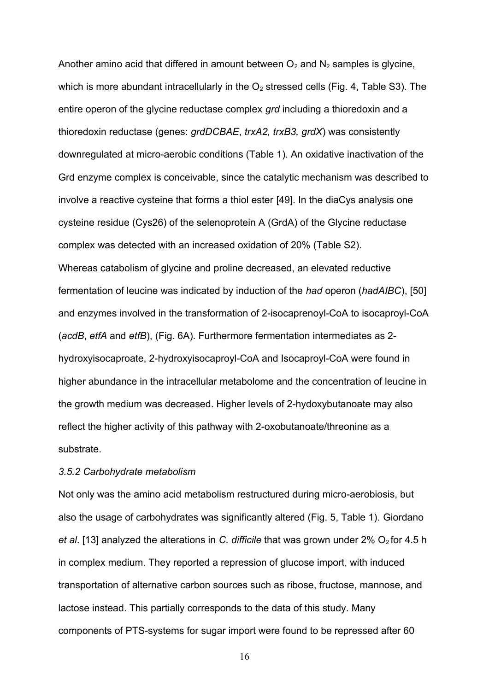Another amino acid that differed in amount between  $O_2$  and  $N_2$  samples is glycine, which is more abundant intracellularly in the  $O<sub>2</sub>$  stressed cells (Fig. 4, Table S3). The entire operon of the glycine reductase complex *grd* including a thioredoxin and a thioredoxin reductase (genes: *grdDCBAE*, *trxA2, trxB3, grdX*) was consistently downregulated at micro-aerobic conditions (Table 1). An oxidative inactivation of the Grd enzyme complex is conceivable, since the catalytic mechanism was described to involve a reactive cysteine that forms a thiol ester [49]. In the diaCys analysis one cysteine residue (Cys26) of the selenoprotein A (GrdA) of the Glycine reductase complex was detected with an increased oxidation of 20% (Table S2). Whereas catabolism of glycine and proline decreased, an elevated reductive fermentation of leucine was indicated by induction of the *had* operon (*hadAIBC*), [50] and enzymes involved in the transformation of 2-isocaprenoyl-CoA to isocaproyl-CoA (*acdB*, *etfA* and *etfB*), (Fig. 6A). Furthermore fermentation intermediates as 2 hydroxyisocaproate, 2-hydroxyisocaproyl-CoA and Isocaproyl-CoA were found in higher abundance in the intracellular metabolome and the concentration of leucine in the growth medium was decreased. Higher levels of 2-hydoxybutanoate may also reflect the higher activity of this pathway with 2-oxobutanoate/threonine as a substrate.

#### *3.5.2 Carbohydrate metabolism*

Not only was the amino acid metabolism restructured during micro-aerobiosis, but also the usage of carbohydrates was significantly altered (Fig. 5, Table 1). Giordano *et al.* [13] analyzed the alterations in *C. difficile* that was grown under 2% O<sub>2</sub> for 4.5 h in complex medium. They reported a repression of glucose import, with induced transportation of alternative carbon sources such as ribose, fructose, mannose, and lactose instead. This partially corresponds to the data of this study. Many components of PTS-systems for sugar import were found to be repressed after 60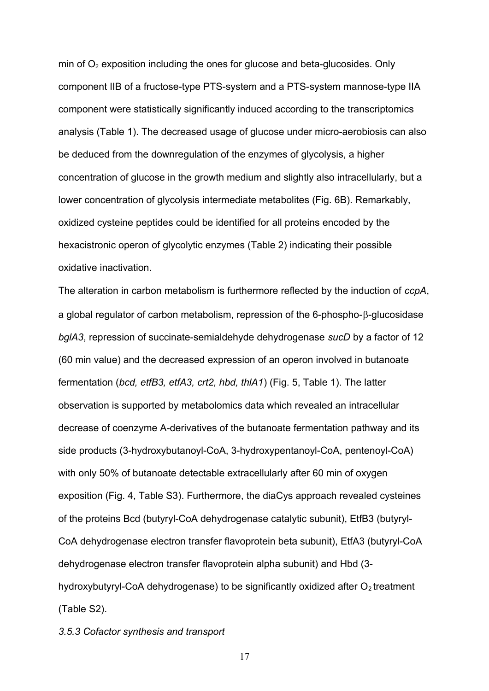min of  $O<sub>2</sub>$  exposition including the ones for glucose and beta-glucosides. Only component IIB of a fructose-type PTS-system and a PTS-system mannose-type IIA component were statistically significantly induced according to the transcriptomics analysis (Table 1). The decreased usage of glucose under micro-aerobiosis can also be deduced from the downregulation of the enzymes of glycolysis, a higher concentration of glucose in the growth medium and slightly also intracellularly, but a lower concentration of glycolysis intermediate metabolites (Fig. 6B). Remarkably, oxidized cysteine peptides could be identified for all proteins encoded by the hexacistronic operon of glycolytic enzymes (Table 2) indicating their possible oxidative inactivation.

The alteration in carbon metabolism is furthermore reflected by the induction of *ccpA*, a global regulator of carbon metabolism, repression of the  $6$ -phospho- $\beta$ -glucosidase *bglA3*, repression of succinate-semialdehyde dehydrogenase *sucD* by a factor of 12 (60 min value) and the decreased expression of an operon involved in butanoate fermentation (*bcd, etfB3, etfA3, crt2, hbd, thlA1*) (Fig. 5, Table 1). The latter observation is supported by metabolomics data which revealed an intracellular decrease of coenzyme A-derivatives of the butanoate fermentation pathway and its side products (3-hydroxybutanoyl-CoA, 3-hydroxypentanoyl-CoA, pentenoyl-CoA) with only 50% of butanoate detectable extracellularly after 60 min of oxygen exposition (Fig. 4, Table S3). Furthermore, the diaCys approach revealed cysteines of the proteins Bcd (butyryl-CoA dehydrogenase catalytic subunit), EtfB3 (butyryl-CoA dehydrogenase electron transfer flavoprotein beta subunit), EtfA3 (butyryl-CoA dehydrogenase electron transfer flavoprotein alpha subunit) and Hbd (3 hydroxybutyryl-CoA dehydrogenase) to be significantly oxidized after  $O<sub>2</sub>$  treatment (Table S2).

*3.5.3 Cofactor synthesis and transport*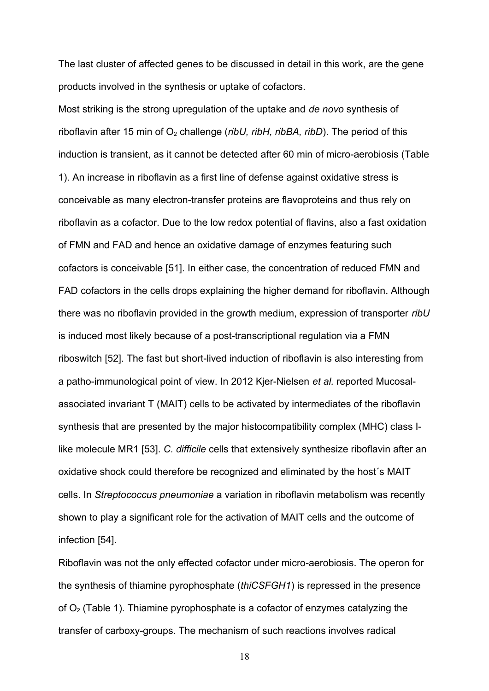The last cluster of affected genes to be discussed in detail in this work, are the gene products involved in the synthesis or uptake of cofactors.

Most striking is the strong upregulation of the uptake and *de novo* synthesis of riboflavin after 15 min of O<sub>2</sub> challenge (*ribU, ribH, ribBA, ribD*). The period of this induction is transient, as it cannot be detected after 60 min of micro-aerobiosis (Table 1). An increase in riboflavin as a first line of defense against oxidative stress is conceivable as many electron-transfer proteins are flavoproteins and thus rely on riboflavin as a cofactor. Due to the low redox potential of flavins, also a fast oxidation of FMN and FAD and hence an oxidative damage of enzymes featuring such cofactors is conceivable [51]. In either case, the concentration of reduced FMN and FAD cofactors in the cells drops explaining the higher demand for riboflavin. Although there was no riboflavin provided in the growth medium, expression of transporter *ribU* is induced most likely because of a post-transcriptional regulation via a FMN riboswitch [52]. The fast but short-lived induction of riboflavin is also interesting from a patho-immunological point of view. In 2012 Kjer-Nielsen *et al.* reported Mucosalassociated invariant T (MAIT) cells to be activated by intermediates of the riboflavin synthesis that are presented by the major histocompatibility complex (MHC) class Ilike molecule MR1 [53]. *C. difficile* cells that extensively synthesize riboflavin after an oxidative shock could therefore be recognized and eliminated by the host´s MAIT cells. In *Streptococcus pneumoniae* a variation in riboflavin metabolism was recently shown to play a significant role for the activation of MAIT cells and the outcome of infection [54].

Riboflavin was not the only effected cofactor under micro-aerobiosis. The operon for the synthesis of thiamine pyrophosphate (*thiCSFGH1*) is repressed in the presence of  $O<sub>2</sub>$  (Table 1). Thiamine pyrophosphate is a cofactor of enzymes catalyzing the transfer of carboxy-groups. The mechanism of such reactions involves radical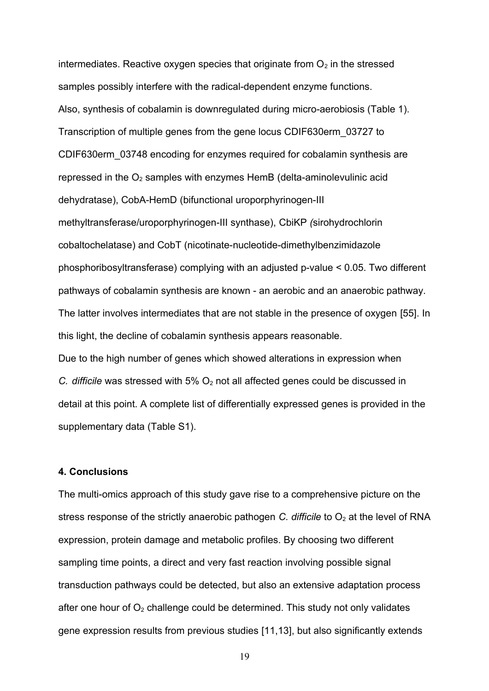intermediates. Reactive oxygen species that originate from  $O<sub>2</sub>$  in the stressed samples possibly interfere with the radical-dependent enzyme functions. Also, synthesis of cobalamin is downregulated during micro-aerobiosis (Table 1). Transcription of multiple genes from the gene locus CDIF630erm\_03727 to CDIF630erm\_03748 encoding for enzymes required for cobalamin synthesis are repressed in the  $O<sub>2</sub>$  samples with enzymes HemB (delta-aminolevulinic acid dehydratase), CobA-HemD (bifunctional uroporphyrinogen-III methyltransferase/uroporphyrinogen-III synthase), CbiKP *(*sirohydrochlorin cobaltochelatase) and CobT (nicotinate-nucleotide-dimethylbenzimidazole phosphoribosyltransferase) complying with an adjusted p-value < 0.05. Two different pathways of cobalamin synthesis are known - an aerobic and an anaerobic pathway. The latter involves intermediates that are not stable in the presence of oxygen [55]. In this light, the decline of cobalamin synthesis appears reasonable.

Due to the high number of genes which showed alterations in expression when *C. difficile* was stressed with 5%  $O_2$  not all affected genes could be discussed in detail at this point. A complete list of differentially expressed genes is provided in the supplementary data (Table S1).

## **4. Conclusions**

The multi-omics approach of this study gave rise to a comprehensive picture on the stress response of the strictly anaerobic pathogen *C. difficile* to  $O<sub>2</sub>$  at the level of RNA expression, protein damage and metabolic profiles. By choosing two different sampling time points, a direct and very fast reaction involving possible signal transduction pathways could be detected, but also an extensive adaptation process after one hour of  $O<sub>2</sub>$  challenge could be determined. This study not only validates gene expression results from previous studies [11,13], but also significantly extends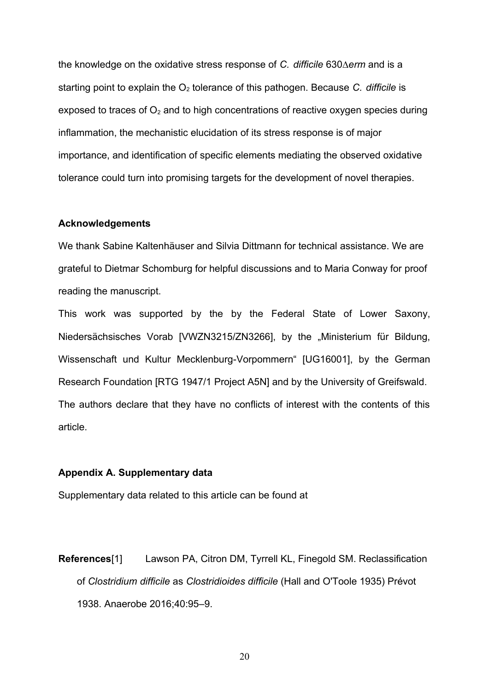the knowledge on the oxidative stress response of *C. difficile* 630*erm* and is a starting point to explain the  $O<sub>2</sub>$  tolerance of this pathogen. Because *C. difficile* is exposed to traces of  $O<sub>2</sub>$  and to high concentrations of reactive oxygen species during inflammation, the mechanistic elucidation of its stress response is of major importance, and identification of specific elements mediating the observed oxidative tolerance could turn into promising targets for the development of novel therapies.

#### **Acknowledgements**

We thank Sabine Kaltenhäuser and Silvia Dittmann for technical assistance. We are grateful to Dietmar Schomburg for helpful discussions and to Maria Conway for proof reading the manuscript.

This work was supported by the by the Federal State of Lower Saxony, Niedersächsisches Vorab [VWZN3215/ZN3266], by the "Ministerium für Bildung, Wissenschaft und Kultur Mecklenburg-Vorpommern" [UG16001], by the German Research Foundation [RTG 1947/1 Project A5N] and by the University of Greifswald. The authors declare that they have no conflicts of interest with the contents of this article.

## **Appendix A. Supplementary data**

Supplementary data related to this article can be found at

**References**[1] Lawson PA, Citron DM, Tyrrell KL, Finegold SM. Reclassification of *Clostridium difficile* as *Clostridioides difficile* (Hall and O'Toole 1935) Prévot 1938. Anaerobe 2016;40:95–9.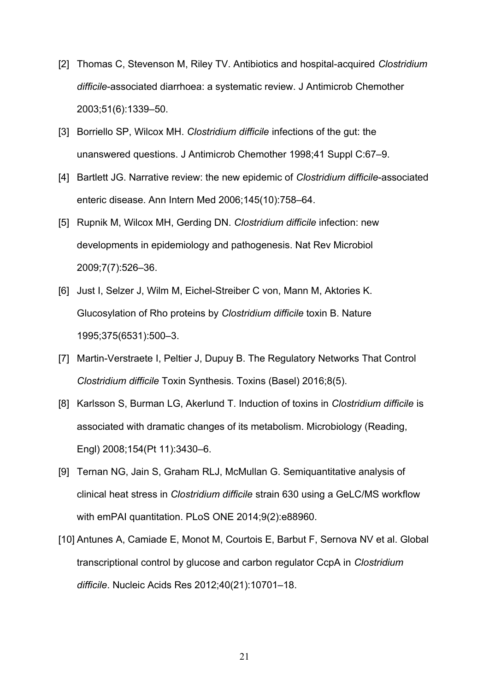- [2] Thomas C, Stevenson M, Riley TV. Antibiotics and hospital-acquired *Clostridium difficile*-associated diarrhoea: a systematic review. J Antimicrob Chemother 2003;51(6):1339–50.
- [3] Borriello SP, Wilcox MH. *Clostridium difficile* infections of the gut: the unanswered questions. J Antimicrob Chemother 1998;41 Suppl C:67–9.
- [4] Bartlett JG. Narrative review: the new epidemic of *Clostridium difficile*-associated enteric disease. Ann Intern Med 2006;145(10):758–64.
- [5] Rupnik M, Wilcox MH, Gerding DN. *Clostridium difficile* infection: new developments in epidemiology and pathogenesis. Nat Rev Microbiol 2009;7(7):526–36.
- [6] Just I, Selzer J, Wilm M, Eichel-Streiber C von, Mann M, Aktories K. Glucosylation of Rho proteins by *Clostridium difficile* toxin B. Nature 1995;375(6531):500–3.
- [7] Martin-Verstraete I, Peltier J, Dupuy B. The Regulatory Networks That Control *Clostridium difficile* Toxin Synthesis. Toxins (Basel) 2016;8(5).
- [8] Karlsson S, Burman LG, Akerlund T. Induction of toxins in *Clostridium difficile* is associated with dramatic changes of its metabolism. Microbiology (Reading, Engl) 2008;154(Pt 11):3430–6.
- [9] Ternan NG, Jain S, Graham RLJ, McMullan G. Semiquantitative analysis of clinical heat stress in *Clostridium difficile* strain 630 using a GeLC/MS workflow with emPAI quantitation. PLoS ONE 2014;9(2):e88960.
- [10] Antunes A, Camiade E, Monot M, Courtois E, Barbut F, Sernova NV et al. Global transcriptional control by glucose and carbon regulator CcpA in *Clostridium difficile*. Nucleic Acids Res 2012;40(21):10701–18.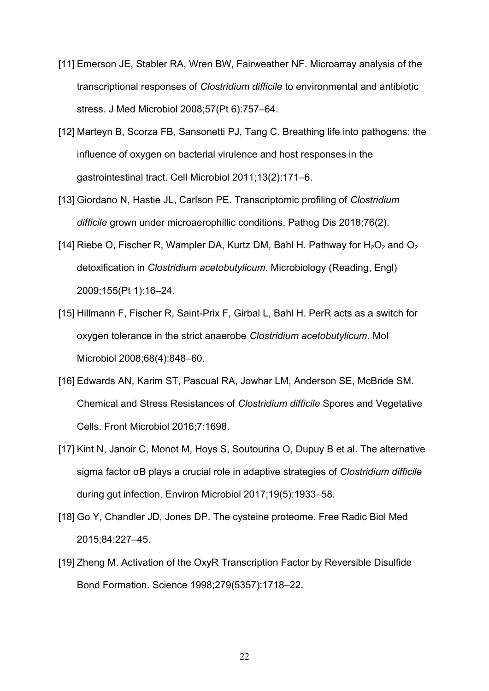- [11] Emerson JE, Stabler RA, Wren BW, Fairweather NF. Microarray analysis of the transcriptional responses of *Clostridium difficile* to environmental and antibiotic stress. J Med Microbiol 2008;57(Pt 6):757–64.
- [12] Marteyn B, Scorza FB, Sansonetti PJ, Tang C. Breathing life into pathogens: the influence of oxygen on bacterial virulence and host responses in the gastrointestinal tract. Cell Microbiol 2011;13(2):171–6.
- [13] Giordano N, Hastie JL, Carlson PE. Transcriptomic profiling of *Clostridium difficile* grown under microaerophillic conditions. Pathog Dis 2018;76(2).
- [14] Riebe O, Fischer R, Wampler DA, Kurtz DM, Bahl H. Pathway for  $H_2O_2$  and  $O_2$ detoxification in *Clostridium acetobutylicum*. Microbiology (Reading, Engl) 2009;155(Pt 1):16–24.
- [15] Hillmann F, Fischer R, Saint-Prix F, Girbal L, Bahl H. PerR acts as a switch for oxygen tolerance in the strict anaerobe *Clostridium acetobutylicum*. Mol Microbiol 2008;68(4):848–60.
- [16] Edwards AN, Karim ST, Pascual RA, Jowhar LM, Anderson SE, McBride SM. Chemical and Stress Resistances of *Clostridium difficile* Spores and Vegetative Cells. Front Microbiol 2016;7:1698.
- [17] Kint N, Janoir C, Monot M, Hoys S, Soutourina O, Dupuy B et al. The alternative sigma factor σB plays a crucial role in adaptive strategies of *Clostridium difficile* during gut infection. Environ Microbiol 2017;19(5):1933–58.
- [18] Go Y, Chandler JD, Jones DP. The cysteine proteome. Free Radic Biol Med 2015;84:227–45.
- [19] Zheng M. Activation of the OxyR Transcription Factor by Reversible Disulfide Bond Formation. Science 1998;279(5357):1718–22.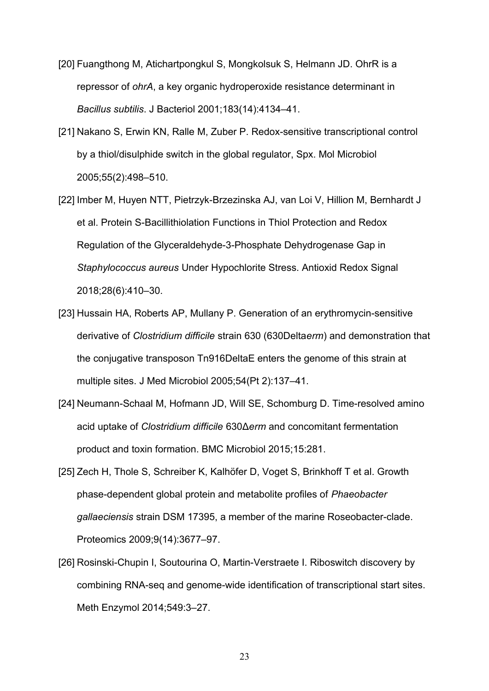- [20] Fuangthong M, Atichartpongkul S, Mongkolsuk S, Helmann JD. OhrR is a repressor of *ohrA*, a key organic hydroperoxide resistance determinant in *Bacillus subtilis*. J Bacteriol 2001;183(14):4134–41.
- [21] Nakano S, Erwin KN, Ralle M, Zuber P. Redox-sensitive transcriptional control by a thiol/disulphide switch in the global regulator, Spx. Mol Microbiol 2005;55(2):498–510.
- [22] Imber M, Huyen NTT, Pietrzyk-Brzezinska AJ, van Loi V, Hillion M, Bernhardt J et al. Protein S-Bacillithiolation Functions in Thiol Protection and Redox Regulation of the Glyceraldehyde-3-Phosphate Dehydrogenase Gap in *Staphylococcus aureus* Under Hypochlorite Stress. Antioxid Redox Signal 2018;28(6):410–30.
- [23] Hussain HA, Roberts AP, Mullany P. Generation of an erythromycin-sensitive derivative of *Clostridium difficile* strain 630 (630Delta*erm*) and demonstration that the conjugative transposon Tn916DeltaE enters the genome of this strain at multiple sites. J Med Microbiol 2005;54(Pt 2):137–41.
- [24] Neumann-Schaal M, Hofmann JD, Will SE, Schomburg D. Time-resolved amino acid uptake of *Clostridium difficile* 630Δ*erm* and concomitant fermentation product and toxin formation. BMC Microbiol 2015;15:281.
- [25] Zech H, Thole S, Schreiber K, Kalhöfer D, Voget S, Brinkhoff T et al. Growth phase-dependent global protein and metabolite profiles of *Phaeobacter gallaeciensis* strain DSM 17395, a member of the marine Roseobacter-clade. Proteomics 2009;9(14):3677–97.
- [26] Rosinski-Chupin I, Soutourina O, Martin-Verstraete I. Riboswitch discovery by combining RNA-seq and genome-wide identification of transcriptional start sites. Meth Enzymol 2014;549:3–27.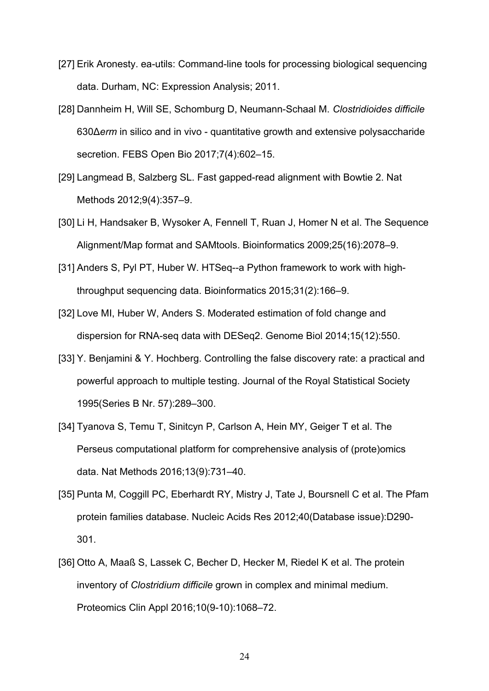- [27] Erik Aronesty. ea-utils: Command-line tools for processing biological sequencing data. Durham, NC: Expression Analysis; 2011.
- [28] Dannheim H, Will SE, Schomburg D, Neumann-Schaal M. *Clostridioides difficile* 630Δ*erm* in silico and in vivo - quantitative growth and extensive polysaccharide secretion. FEBS Open Bio 2017;7(4):602–15.
- [29] Langmead B, Salzberg SL. Fast gapped-read alignment with Bowtie 2. Nat Methods 2012;9(4):357–9.
- [30] Li H, Handsaker B, Wysoker A, Fennell T, Ruan J, Homer N et al. The Sequence Alignment/Map format and SAMtools. Bioinformatics 2009;25(16):2078–9.
- [31] Anders S, Pyl PT, Huber W. HTSeq--a Python framework to work with highthroughput sequencing data. Bioinformatics 2015;31(2):166–9.
- [32] Love MI, Huber W, Anders S. Moderated estimation of fold change and dispersion for RNA-seq data with DESeq2. Genome Biol 2014;15(12):550.
- [33] Y. Benjamini & Y. Hochberg. Controlling the false discovery rate: a practical and powerful approach to multiple testing. Journal of the Royal Statistical Society 1995(Series B Nr. 57):289–300.
- [34] Tyanova S, Temu T, Sinitcyn P, Carlson A, Hein MY, Geiger T et al. The Perseus computational platform for comprehensive analysis of (prote)omics data. Nat Methods 2016;13(9):731–40.
- [35] Punta M, Coggill PC, Eberhardt RY, Mistry J, Tate J, Boursnell C et al. The Pfam protein families database. Nucleic Acids Res 2012;40(Database issue):D290- 301.
- [36] Otto A, Maaß S, Lassek C, Becher D, Hecker M, Riedel K et al. The protein inventory of *Clostridium difficile* grown in complex and minimal medium. Proteomics Clin Appl 2016;10(9-10):1068–72.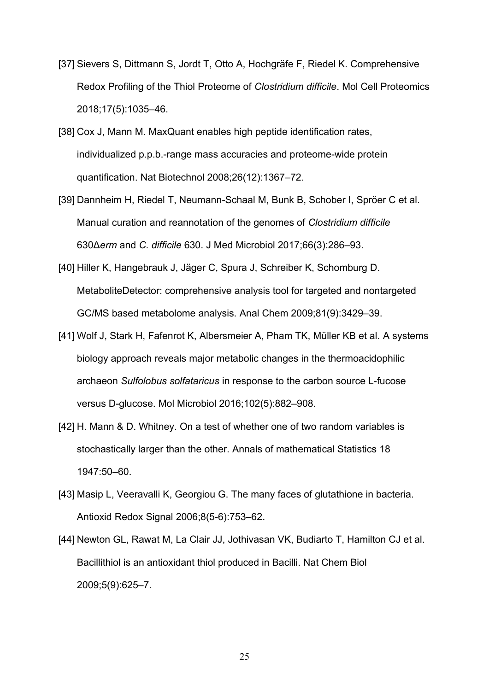- [37] Sievers S, Dittmann S, Jordt T, Otto A, Hochgräfe F, Riedel K. Comprehensive Redox Profiling of the Thiol Proteome of *Clostridium difficile*. Mol Cell Proteomics 2018;17(5):1035–46.
- [38] Cox J, Mann M. MaxQuant enables high peptide identification rates, individualized p.p.b.-range mass accuracies and proteome-wide protein quantification. Nat Biotechnol 2008;26(12):1367–72.
- [39] Dannheim H, Riedel T, Neumann-Schaal M, Bunk B, Schober I, Spröer C et al. Manual curation and reannotation of the genomes of *Clostridium difficile* 630Δ*erm* and *C. difficile* 630. J Med Microbiol 2017;66(3):286–93.
- [40] Hiller K, Hangebrauk J, Jäger C, Spura J, Schreiber K, Schomburg D. MetaboliteDetector: comprehensive analysis tool for targeted and nontargeted GC/MS based metabolome analysis. Anal Chem 2009;81(9):3429–39.
- [41] Wolf J, Stark H, Fafenrot K, Albersmeier A, Pham TK, Müller KB et al. A systems biology approach reveals major metabolic changes in the thermoacidophilic archaeon *Sulfolobus solfataricus* in response to the carbon source L-fucose versus D-glucose. Mol Microbiol 2016;102(5):882–908.
- [42] H. Mann & D. Whitney. On a test of whether one of two random variables is stochastically larger than the other. Annals of mathematical Statistics 18 1947:50–60.
- [43] Masip L, Veeravalli K, Georgiou G. The many faces of glutathione in bacteria. Antioxid Redox Signal 2006;8(5-6):753–62.
- [44] Newton GL, Rawat M, La Clair JJ, Jothivasan VK, Budiarto T, Hamilton CJ et al. Bacillithiol is an antioxidant thiol produced in Bacilli. Nat Chem Biol 2009;5(9):625–7.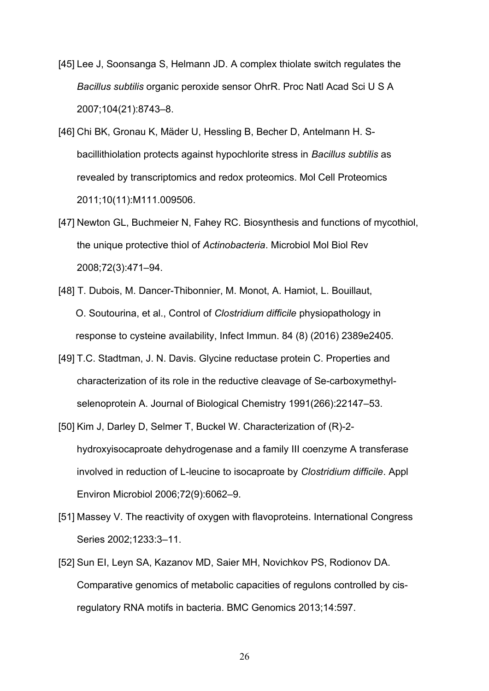- [45] Lee J, Soonsanga S, Helmann JD. A complex thiolate switch regulates the *Bacillus subtilis* organic peroxide sensor OhrR. Proc Natl Acad Sci U S A 2007;104(21):8743–8.
- [46] Chi BK, Gronau K, Mäder U, Hessling B, Becher D, Antelmann H. Sbacillithiolation protects against hypochlorite stress in *Bacillus subtilis* as revealed by transcriptomics and redox proteomics. Mol Cell Proteomics 2011;10(11):M111.009506.
- [47] Newton GL, Buchmeier N, Fahey RC. Biosynthesis and functions of mycothiol, the unique protective thiol of *Actinobacteria*. Microbiol Mol Biol Rev 2008;72(3):471–94.
- [48] T. Dubois, M. Dancer-Thibonnier, M. Monot, A. Hamiot, L. Bouillaut, O. Soutourina, et al., Control of *Clostridium difficile* physiopathology in response to cysteine availability, Infect Immun. 84 (8) (2016) 2389e2405.
- [49] T.C. Stadtman, J. N. Davis. Glycine reductase protein C. Properties and characterization of its role in the reductive cleavage of Se-carboxymethylselenoprotein A. Journal of Biological Chemistry 1991(266):22147–53.
- [50] Kim J, Darley D, Selmer T, Buckel W. Characterization of (R)-2 hydroxyisocaproate dehydrogenase and a family III coenzyme A transferase involved in reduction of L-leucine to isocaproate by *Clostridium difficile*. Appl Environ Microbiol 2006;72(9):6062–9.
- [51] Massey V. The reactivity of oxygen with flavoproteins. International Congress Series 2002;1233:3–11.
- [52] Sun EI, Leyn SA, Kazanov MD, Saier MH, Novichkov PS, Rodionov DA. Comparative genomics of metabolic capacities of regulons controlled by cisregulatory RNA motifs in bacteria. BMC Genomics 2013;14:597.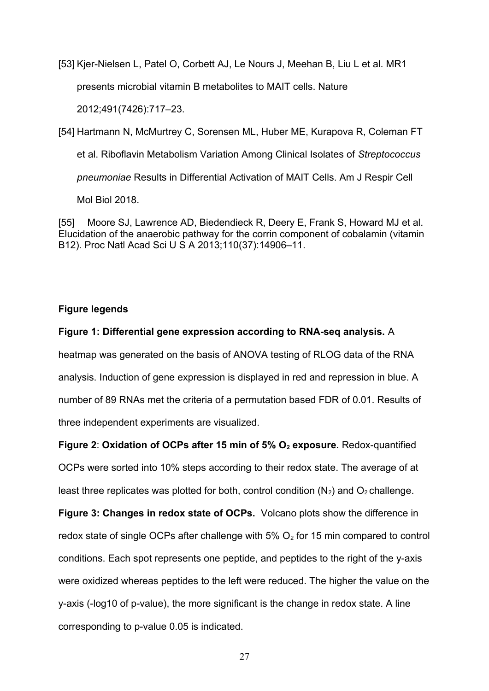[53] Kjer-Nielsen L, Patel O, Corbett AJ, Le Nours J, Meehan B, Liu L et al. MR1

presents microbial vitamin B metabolites to MAIT cells. Nature

2012;491(7426):717–23.

[54] Hartmann N, McMurtrey C, Sorensen ML, Huber ME, Kurapova R, Coleman FT

et al. Riboflavin Metabolism Variation Among Clinical Isolates of *Streptococcus*

*pneumoniae* Results in Differential Activation of MAIT Cells. Am J Respir Cell

Mol Biol 2018.

[55] Moore SJ, Lawrence AD, Biedendieck R, Deery E, Frank S, Howard MJ et al. Elucidation of the anaerobic pathway for the corrin component of cobalamin (vitamin B12). Proc Natl Acad Sci U S A 2013;110(37):14906–11.

## **Figure legends**

### **Figure 1: Differential gene expression according to RNA-seq analysis.** A

heatmap was generated on the basis of ANOVA testing of RLOG data of the RNA analysis. Induction of gene expression is displayed in red and repression in blue. A number of 89 RNAs met the criteria of a permutation based FDR of 0.01. Results of three independent experiments are visualized.

**Figure 2**: **Oxidation of OCPs after 15 min of 5% O2 exposure.** Redox-quantified OCPs were sorted into 10% steps according to their redox state. The average of at least three replicates was plotted for both, control condition  $(N_2)$  and  $O_2$  challenge.

**Figure 3: Changes in redox state of OCPs.** Volcano plots show the difference in redox state of single OCPs after challenge with  $5\%$  O<sub>2</sub> for 15 min compared to control conditions. Each spot represents one peptide, and peptides to the right of the y-axis were oxidized whereas peptides to the left were reduced. The higher the value on the y-axis (-log10 of p-value), the more significant is the change in redox state. A line corresponding to p-value 0.05 is indicated.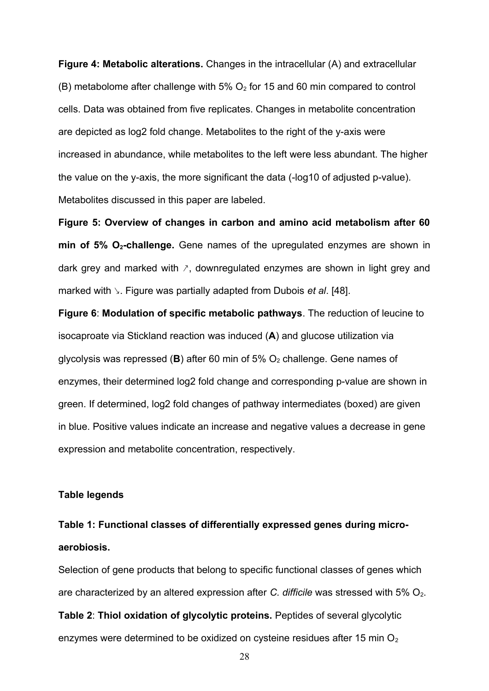**Figure 4: Metabolic alterations.** Changes in the intracellular (A) and extracellular (B) metabolome after challenge with  $5\%$  O<sub>2</sub> for 15 and 60 min compared to control cells. Data was obtained from five replicates. Changes in metabolite concentration are depicted as log2 fold change. Metabolites to the right of the y-axis were increased in abundance, while metabolites to the left were less abundant. The higher the value on the y-axis, the more significant the data (-log10 of adjusted p-value). Metabolites discussed in this paper are labeled.

**Figure 5: Overview of changes in carbon and amino acid metabolism after 60 min of 5% O2-challenge.** Gene names of the upregulated enzymes are shown in dark grey and marked with  $\lambda$ , downregulated enzymes are shown in light grey and marked with ↘. Figure was partially adapted from Dubois *et al*. [48].

**Figure 6**: **Modulation of specific metabolic pathways**. The reduction of leucine to isocaproate via Stickland reaction was induced (**A**) and glucose utilization via glycolysis was repressed ( $\bf{B}$ ) after 60 min of 5%  $O_2$  challenge. Gene names of enzymes, their determined log2 fold change and corresponding p-value are shown in green. If determined, log2 fold changes of pathway intermediates (boxed) are given in blue. Positive values indicate an increase and negative values a decrease in gene expression and metabolite concentration, respectively.

#### **Table legends**

# **Table 1: Functional classes of differentially expressed genes during microaerobiosis.**

Selection of gene products that belong to specific functional classes of genes which are characterized by an altered expression after *C. difficile* was stressed with 5% O<sub>2</sub>. **Table 2**: **Thiol oxidation of glycolytic proteins.** Peptides of several glycolytic enzymes were determined to be oxidized on cysteine residues after 15 min  $O<sub>2</sub>$